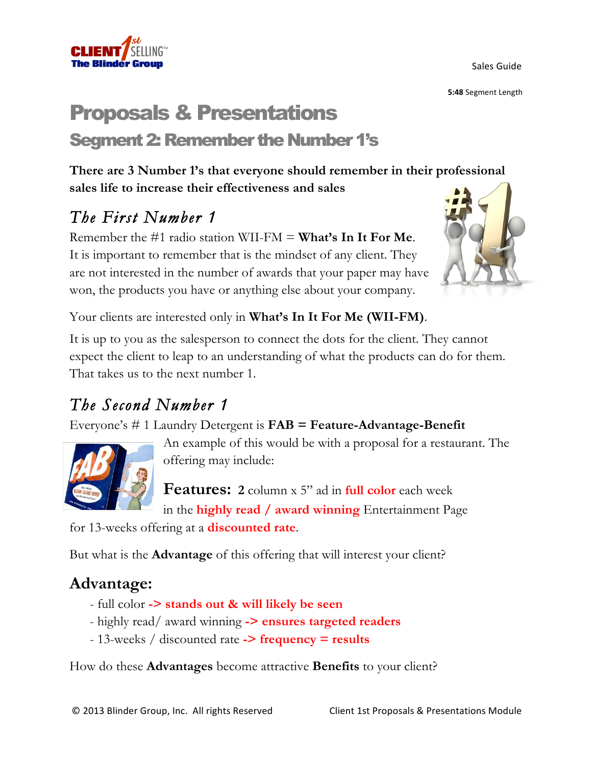Sales Guide

**5:48** Segment Length

# Proposals & Presentations Segment 2: Remember the Number 1's

**There are 3 Number 1's that everyone should remember in their professional sales life to increase their effectiveness and sales**

### *The First Number 1*

Remember the #1 radio station WII-FM = **What's In It For Me**. It is important to remember that is the mindset of any client. They are not interested in the number of awards that your paper may have won, the products you have or anything else about your company.



Your clients are interested only in **What's In It For Me (WII-FM)**.

It is up to you as the salesperson to connect the dots for the client. They cannot expect the client to leap to an understanding of what the products can do for them. That takes us to the next number 1.

#### *The Second Number 1*

Everyone's # 1 Laundry Detergent is **FAB = Feature-Advantage-Benefit**



An example of this would be with a proposal for a restaurant. The offering may include:

**Features: 2** column x 5" ad in **full color** each week in the **highly read / award winning** Entertainment Page

for 13-weeks offering at a **discounted rate**.

But what is the **Advantage** of this offering that will interest your client?

#### **Advantage:**

- full color **-> stands out & will likely be seen**
- highly read/ award winning **-> ensures targeted readers**
- 13-weeks / discounted rate **-> frequency = results**

How do these **Advantages** become attractive **Benefits** to your client?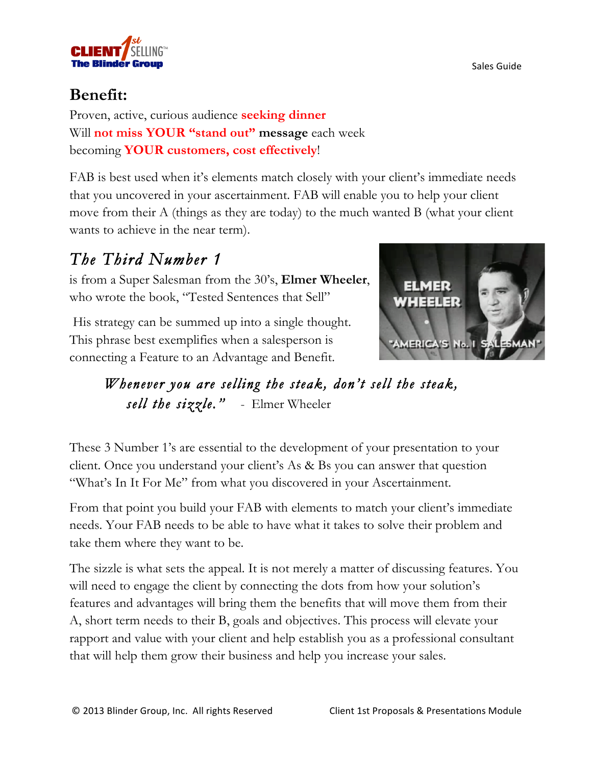

#### **Benefit:**

Proven, active, curious audience **seeking dinner** Will **not miss YOUR "stand out" message** each week becoming **YOUR customers, cost effectively**!

FAB is best used when it's elements match closely with your client's immediate needs that you uncovered in your ascertainment. FAB will enable you to help your client move from their A (things as they are today) to the much wanted B (what your client wants to achieve in the near term).

## *The Third Number 1*

is from a Super Salesman from the 30's, **Elmer Wheeler**, who wrote the book, "Tested Sentences that Sell"

His strategy can be summed up into a single thought. This phrase best exemplifies when a salesperson is connecting a Feature to an Advantage and Benefit.



*Whenever you are selling the steak, don't sell the steak, sell the sizzle."* - Elmer Wheeler

These 3 Number 1's are essential to the development of your presentation to your client. Once you understand your client's As & Bs you can answer that question "What's In It For Me" from what you discovered in your Ascertainment.

From that point you build your FAB with elements to match your client's immediate needs. Your FAB needs to be able to have what it takes to solve their problem and take them where they want to be.

The sizzle is what sets the appeal. It is not merely a matter of discussing features. You will need to engage the client by connecting the dots from how your solution's features and advantages will bring them the benefits that will move them from their A, short term needs to their B, goals and objectives. This process will elevate your rapport and value with your client and help establish you as a professional consultant that will help them grow their business and help you increase your sales.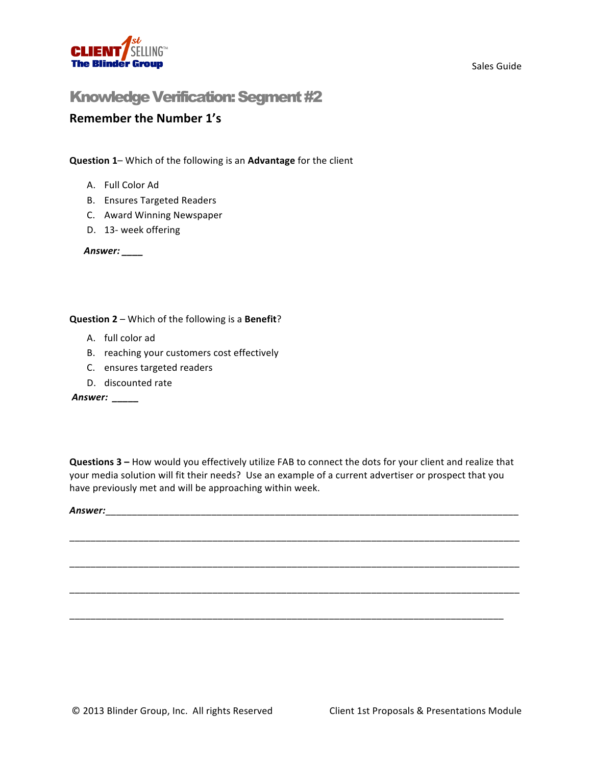

#### Knowledge Verification: Segment #2

#### **Remember the Number 1's**

**Question 1–** Which of the following is an **Advantage** for the client

- A. Full Color Ad
- B. Ensures Targeted Readers
- C. Award Winning Newspaper
- D. 13- week offering

Answer: \_\_\_\_

**Question 2** – Which of the following is a Benefit?

- A. full color ad
- B. reaching your customers cost effectively
- C. ensures targeted readers
- D. discounted rate

*Answer: \_\_\_\_\_*

**Questions 3** – How would you effectively utilize FAB to connect the dots for your client and realize that your media solution will fit their needs? Use an example of a current advertiser or prospect that you have previously met and will be approaching within week.

\_\_\_\_\_\_\_\_\_\_\_\_\_\_\_\_\_\_\_\_\_\_\_\_\_\_\_\_\_\_\_\_\_\_\_\_\_\_\_\_\_\_\_\_\_\_\_\_\_\_\_\_\_\_\_\_\_\_\_\_\_\_\_\_\_\_\_\_\_\_\_\_\_\_\_\_\_\_\_\_\_\_\_\_\_

\_\_\_\_\_\_\_\_\_\_\_\_\_\_\_\_\_\_\_\_\_\_\_\_\_\_\_\_\_\_\_\_\_\_\_\_\_\_\_\_\_\_\_\_\_\_\_\_\_\_\_\_\_\_\_\_\_\_\_\_\_\_\_\_\_\_\_\_\_\_\_\_\_\_\_\_\_\_\_\_\_\_\_\_\_

\_\_\_\_\_\_\_\_\_\_\_\_\_\_\_\_\_\_\_\_\_\_\_\_\_\_\_\_\_\_\_\_\_\_\_\_\_\_\_\_\_\_\_\_\_\_\_\_\_\_\_\_\_\_\_\_\_\_\_\_\_\_\_\_\_\_\_\_\_\_\_\_\_\_\_\_\_\_\_\_\_\_\_\_\_

\_\_\_\_\_\_\_\_\_\_\_\_\_\_\_\_\_\_\_\_\_\_\_\_\_\_\_\_\_\_\_\_\_\_\_\_\_\_\_\_\_\_\_\_\_\_\_\_\_\_\_\_\_\_\_\_\_\_\_\_\_\_\_\_\_\_\_\_\_\_\_\_\_\_\_\_\_\_\_\_\_\_

*Answer:*\_\_\_\_\_\_\_\_\_\_\_\_\_\_\_\_\_\_\_\_\_\_\_\_\_\_\_\_\_\_\_\_\_\_\_\_\_\_\_\_\_\_\_\_\_\_\_\_\_\_\_\_\_\_\_\_\_\_\_\_\_\_\_\_\_\_\_\_\_\_\_\_\_\_\_\_\_\_